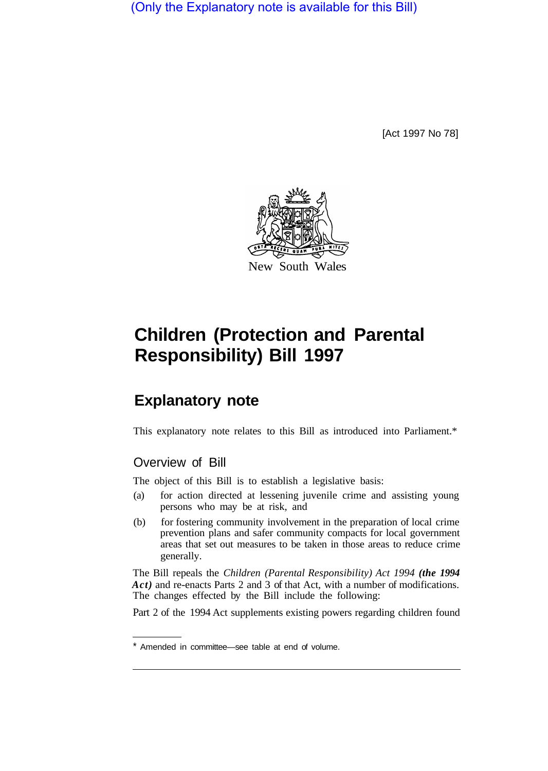(Only the Explanatory note is available for this Bill)

[Act 1997 No 78]



# **Children (Protection and Parental Responsibility) Bill 1997**

# **Explanatory note**

This explanatory note relates to this Bill as introduced into Parliament.\*

# Overview of Bill

The object of this Bill is to establish a legislative basis:

- (a) for action directed at lessening juvenile crime and assisting young persons who may be at risk, and
- (b) for fostering community involvement in the preparation of local crime prevention plans and safer community compacts for local government areas that set out measures to be taken in those areas to reduce crime generally.

The Bill repeals the *Children (Parental Responsibility) Act 1994 (the 1994 Act)* and re-enacts Parts 2 and 3 of that Act, with a number of modifications. The changes effected by the Bill include the following:

Part 2 of the 1994 Act supplements existing powers regarding children found

<sup>\*</sup> Amended in committee—see table at end of volume.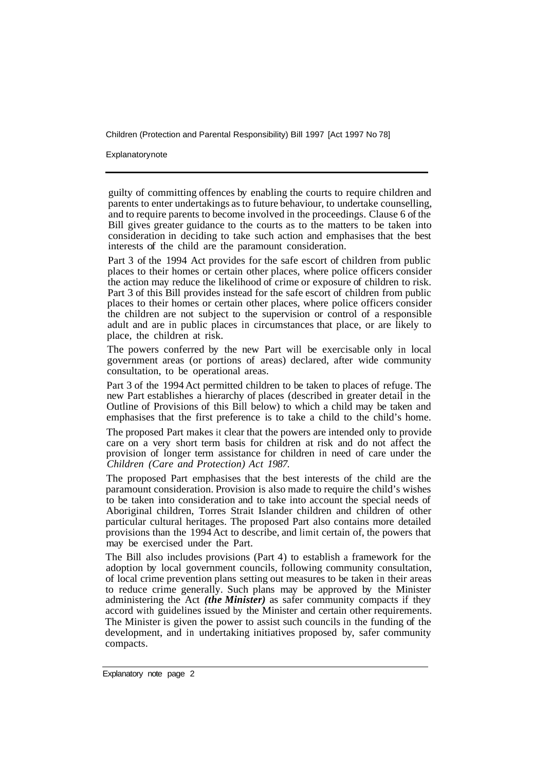Explanatory note

guilty of committing offences by enabling the courts to require children and parents to enter undertakings as to future behaviour, to undertake counselling, and to require parents to become involved in the proceedings. Clause 6 of the Bill gives greater guidance to the courts as to the matters to be taken into consideration in deciding to take such action and emphasises that the best interests of the child are the paramount consideration.

Part 3 of the 1994 Act provides for the safe escort of children from public places to their homes or certain other places, where police officers consider the action may reduce the likelihood of crime or exposure of children to risk. Part 3 of this Bill provides instead for the safe escort of children from public places to their homes or certain other places, where police officers consider the children are not subject to the supervision or control of a responsible adult and are in public places in circumstances that place, or are likely to place, the children at risk.

The powers conferred by the new Part will be exercisable only in local government areas (or portions of areas) declared, after wide community consultation, to be operational areas.

Part 3 of the 1994 Act permitted children to be taken to places of refuge. The new Part establishes a hierarchy of places (described in greater detail in the Outline of Provisions of this Bill below) to which a child may be taken and emphasises that the first preference is to take a child to the child's home.

The proposed Part makes it clear that the powers are intended only to provide care on a very short term basis for children at risk and do not affect the provision of longer term assistance for children in need of care under the *Children (Care and Protection) Act 1987.* 

The proposed Part emphasises that the best interests of the child are the paramount consideration. Provision is also made to require the child's wishes to be taken into consideration and to take into account the special needs of Aboriginal children, Torres Strait Islander children and children of other particular cultural heritages. The proposed Part also contains more detailed provisions than the 1994 Act to describe, and limit certain of, the powers that may be exercised under the Part.

The Bill also includes provisions (Part 4) to establish a framework for the adoption by local government councils, following community consultation, of local crime prevention plans setting out measures to be taken in their areas to reduce crime generally. Such plans may be approved by the Minister administering the Act *(the Minister)* as safer community compacts if they accord with guidelines issued by the Minister and certain other requirements. The Minister is given the power to assist such councils in the funding of the development, and in undertaking initiatives proposed by, safer community compacts.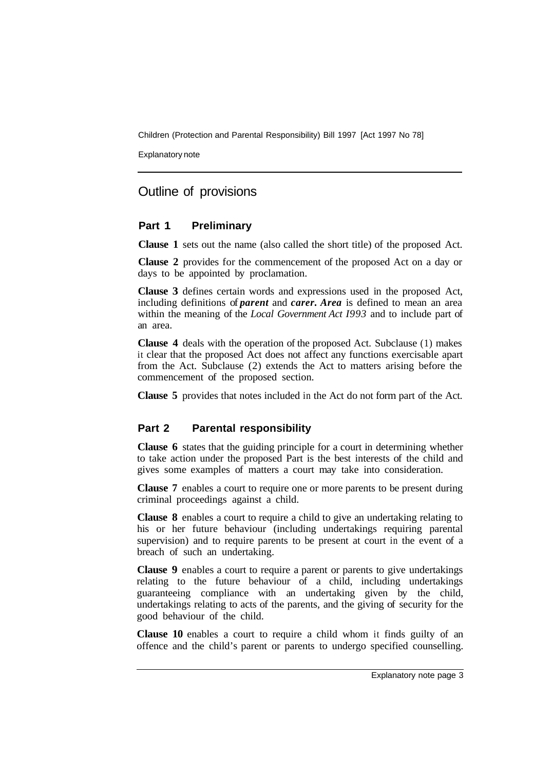Explanatory note

## Outline of provisions

#### **Part 1 Preliminary**

**Clause 1** sets out the name (also called the short title) of the proposed Act.

**Clause 2** provides for the commencement of the proposed Act on a day or days to be appointed by proclamation.

**Clause 3** defines certain words and expressions used in the proposed Act, including definitions of *parent* and *carer. Area* is defined to mean an area within the meaning of the *Local Government Act I993* and to include part of an area.

**Clause 4** deals with the operation of the proposed Act. Subclause (1) makes it clear that the proposed Act does not affect any functions exercisable apart from the Act. Subclause (2) extends the Act to matters arising before the commencement of the proposed section.

**Clause 5** provides that notes included in the Act do not form part of the Act.

#### **Part 2 Parental responsibility**

**Clause 6** states that the guiding principle for a court in determining whether to take action under the proposed Part is the best interests of the child and gives some examples of matters a court may take into consideration.

**Clause 7** enables a court to require one or more parents to be present during criminal proceedings against a child.

**Clause 8** enables a court to require a child to give an undertaking relating to his or her future behaviour (including undertakings requiring parental supervision) and to require parents to be present at court in the event of a breach of such an undertaking.

**Clause 9** enables a court to require a parent or parents to give undertakings relating to the future behaviour of a child, including undertakings guaranteeing compliance with an undertaking given by the child, undertakings relating to acts of the parents, and the giving of security for the good behaviour of the child.

**Clause 10** enables a court to require a child whom it finds guilty of an offence and the child's parent or parents to undergo specified counselling.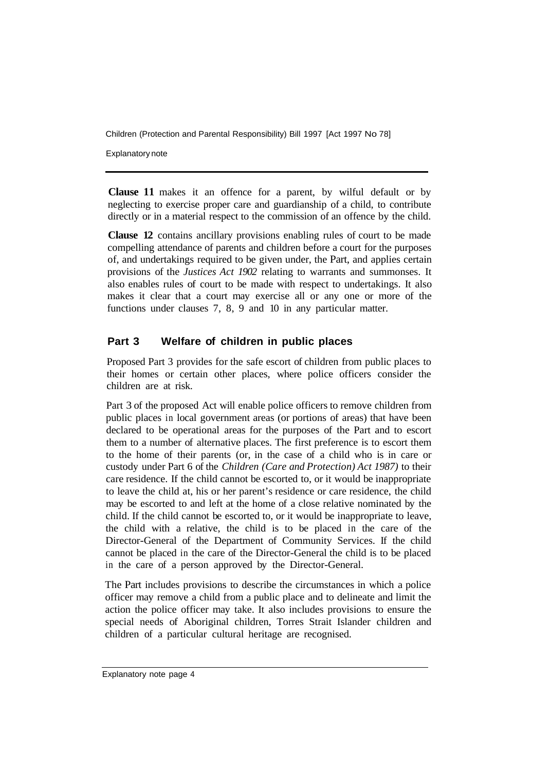Explanatory note

**Clause 11** makes it an offence for a parent, by wilful default or by neglecting to exercise proper care and guardianship of a child, to contribute directly or in a material respect to the commission of an offence by the child.

**Clause 12** contains ancillary provisions enabling rules of court to be made compelling attendance of parents and children before a court for the purposes of, and undertakings required to be given under, the Part, and applies certain provisions of the *Justices Act 1902* relating to warrants and summonses. It also enables rules of court to be made with respect to undertakings. It also makes it clear that a court may exercise all or any one or more of the functions under clauses 7, 8, 9 and 10 in any particular matter.

### **Part 3 Welfare of children in public places**

Proposed Part 3 provides for the safe escort of children from public places to their homes or certain other places, where police officers consider the children are at risk.

Part 3 of the proposed Act will enable police officers to remove children from public places in local government areas (or portions of areas) that have been declared to be operational areas for the purposes of the Part and to escort them to a number of alternative places. The first preference is to escort them to the home of their parents (or, in the case of a child who is in care or custody under Part 6 of the *Children (Care and Protection) Act 1987)* to their care residence. If the child cannot be escorted to, or it would be inappropriate to leave the child at, his or her parent's residence or care residence, the child may be escorted to and left at the home of a close relative nominated by the child. If the child cannot be escorted to, or it would be inappropriate to leave, the child with a relative, the child is to be placed in the care of the Director-General of the Department of Community Services. If the child cannot be placed in the care of the Director-General the child is to be placed in the care of a person approved by the Director-General.

The Part includes provisions to describe the circumstances in which a police officer may remove a child from a public place and to delineate and limit the action the police officer may take. It also includes provisions to ensure the special needs of Aboriginal children, Torres Strait Islander children and children of a particular cultural heritage are recognised.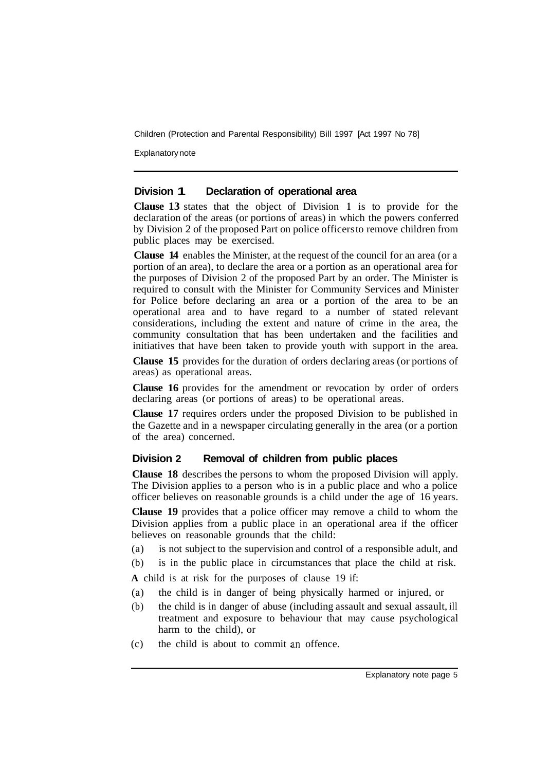Explanatory note

#### **Division 1 Declaration of operational area**

**Clause 13** states that the object of Division **1** is to provide for the declaration of the areas (or portions of areas) in which the powers conferred by Division 2 of the proposed Part on police officers to remove children from public places may be exercised.

**Clause 14** enables the Minister, at the request of the council for an area (or a portion of an area), to declare the area or a portion as an operational area for the purposes of Division 2 of the proposed Part by an order. The Minister is required to consult with the Minister for Community Services and Minister for Police before declaring an area or a portion of the area to be an operational area and to have regard to a number of stated relevant considerations, including the extent and nature of crime in the area, the community consultation that has been undertaken and the facilities and initiatives that have been taken to provide youth with support in the area.

**Clause 15** provides for the duration of orders declaring areas (or portions of areas) as operational areas.

**Clause 16** provides for the amendment or revocation by order of orders declaring areas (or portions of areas) to be operational areas.

**Clause 17** requires orders under the proposed Division to be published in the Gazette and in a newspaper circulating generally in the area (or a portion of the area) concerned.

#### **Division 2 Removal of children from public places**

**Clause 18** describes the persons to whom the proposed Division will apply. The Division applies to a person who is in a public place and who a police officer believes on reasonable grounds is a child under the age of 16 years.

**Clause 19** provides that a police officer may remove a child to whom the Division applies from a public place in an operational area if the officer believes on reasonable grounds that the child:

- (a) is not subject to the supervision and control of a responsible adult, and
- (b) is in the public place in circumstances that place the child at risk.

**A** child is at risk for the purposes of clause 19 if:

- (a) the child is in danger of being physically harmed or injured, or
- (b) the child is in danger of abuse (including assault and sexual assault, ill treatment and exposure to behaviour that may cause psychological harm to the child), or
- (c) the child is about to commit an offence.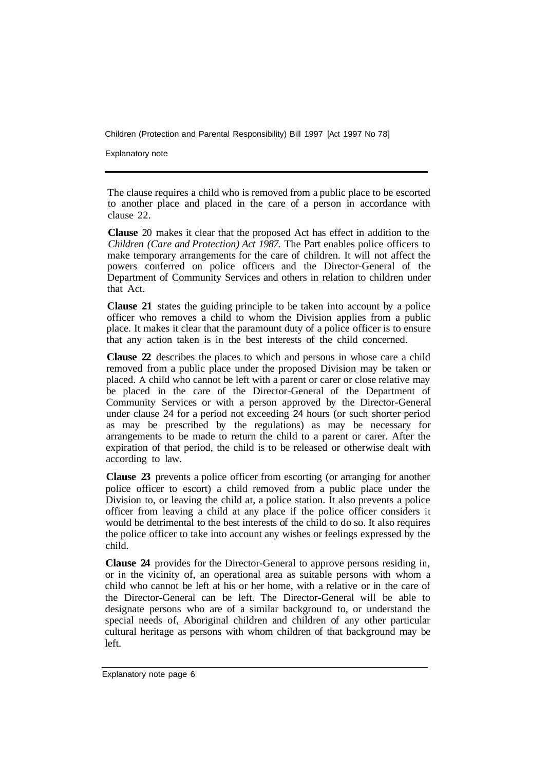Explanatory note

The clause requires a child who is removed from a public place to be escorted to another place and placed in the care of a person in accordance with clause 22.

**Clause** 20 makes it clear that the proposed Act has effect in addition to the *Children (Care and Protection) Act 1987.* The Part enables police officers to make temporary arrangements for the care of children. It will not affect the powers conferred on police officers and the Director-General of the Department of Community Services and others in relation to children under that Act.

**Clause 21** states the guiding principle to be taken into account by a police officer who removes a child to whom the Division applies from a public place. It makes it clear that the paramount duty of a police officer is to ensure that any action taken is in the best interests of the child concerned.

**Clause 22** describes the places to which and persons in whose care a child removed from a public place under the proposed Division may be taken or placed. A child who cannot be left with a parent or carer or close relative may be placed in the care of the Director-General of the Department of Community Services or with a person approved by the Director-General under clause 24 for a period not exceeding 24 hours (or such shorter period as may be prescribed by the regulations) as may be necessary for arrangements to be made to return the child to a parent or carer. After the expiration of that period, the child is to be released or otherwise dealt with according to law.

**Clause 23** prevents a police officer from escorting (or arranging for another police officer to escort) a child removed from a public place under the Division to, or leaving the child at, a police station. It also prevents a police officer from leaving a child at any place if the police officer considers it would be detrimental to the best interests of the child to do so. It also requires the police officer to take into account any wishes or feelings expressed by the child.

**Clause 24** provides for the Director-General to approve persons residing in, or in the vicinity of, an operational area as suitable persons with whom a child who cannot be left at his or her home, with a relative or in the care of the Director-General can be left. The Director-General will be able to designate persons who are of a similar background to, or understand the special needs of, Aboriginal children and children of any other particular cultural heritage as persons with whom children of that background may be left.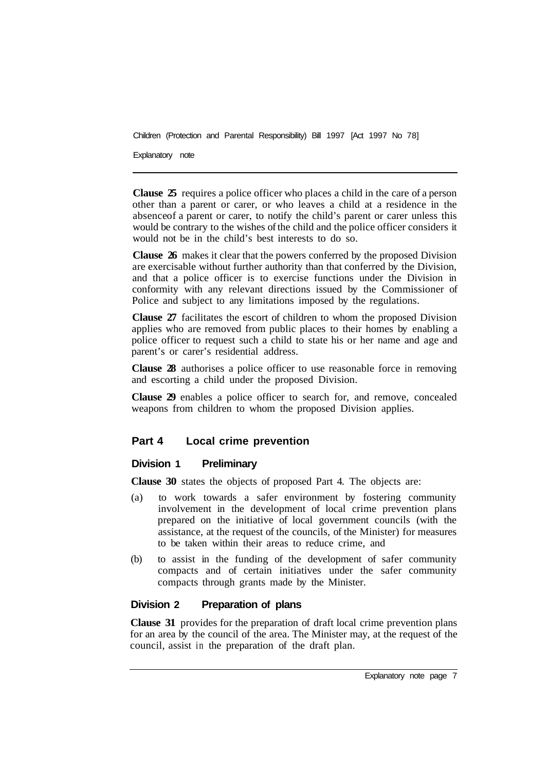Explanatory note

**Clause 25** requires a police officer who places a child in the care of a person other than a parent or carer, or who leaves a child at a residence in the absence of a parent or carer, to notify the child's parent or carer unless this would be contrary to the wishes of the child and the police officer considers it would not be in the child's best interests to do so.

**Clause 26** makes it clear that the powers conferred by the proposed Division are exercisable without further authority than that conferred by the Division, and that a police officer is to exercise functions under the Division in conformity with any relevant directions issued by the Commissioner of Police and subject to any limitations imposed by the regulations.

**Clause 27** facilitates the escort of children to whom the proposed Division applies who are removed from public places to their homes by enabling a police officer to request such a child to state his or her name and age and parent's or carer's residential address.

**Clause 28** authorises a police officer to use reasonable force in removing and escorting a child under the proposed Division.

**Clause 29** enables a police officer to search for, and remove, concealed weapons from children to whom the proposed Division applies.

### **Part 4 Local crime prevention**

#### **Division 1 Preliminary**

**Clause 30** states the objects of proposed Part 4. The objects are:

- (a) to work towards a safer environment by fostering community involvement in the development of local crime prevention plans prepared on the initiative of local government councils (with the assistance, at the request of the councils, of the Minister) for measures to be taken within their areas to reduce crime, and
- (b) to assist in the funding of the development of safer community compacts and of certain initiatives under the safer community compacts through grants made by the Minister.

#### **Division 2 Preparation of plans**

**Clause 31** provides for the preparation of draft local crime prevention plans for an area by the council of the area. The Minister may, at the request of the council, assist in the preparation of the draft plan.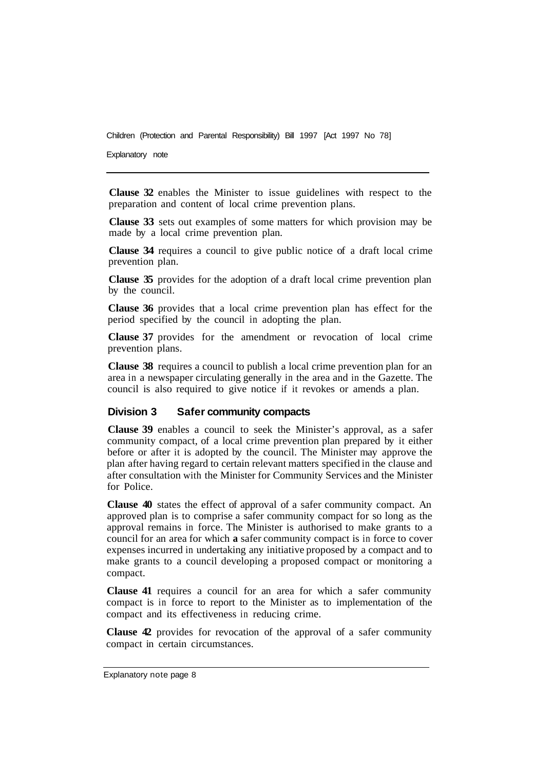Explanatory note

**Clause 32** enables the Minister to issue guidelines with respect to the preparation and content of local crime prevention plans.

**Clause 33** sets out examples of some matters for which provision may be made by a local crime prevention plan.

**Clause 34** requires a council to give public notice of a draft local crime prevention plan.

**Clause 35** provides for the adoption of a draft local crime prevention plan by the council.

**Clause 36** provides that a local crime prevention plan has effect for the period specified by the council in adopting the plan.

**Clause 37** provides for the amendment or revocation of local crime prevention plans.

**Clause 38** requires a council to publish a local crime prevention plan for an area in a newspaper circulating generally in the area and in the Gazette. The council is also required to give notice if it revokes or amends a plan.

#### **Division 3 Safer community compacts**

**Clause 39** enables a council to seek the Minister's approval, as a safer community compact, of a local crime prevention plan prepared by it either before or after it is adopted by the council. The Minister may approve the plan after having regard to certain relevant matters specified in the clause and after consultation with the Minister for Community Services and the Minister for Police.

**Clause 40** states the effect of approval of a safer community compact. An approved plan is to comprise a safer community compact for so long as the approval remains in force. The Minister is authorised to make grants to a council for an area for which **a** safer community compact is in force to cover expenses incurred in undertaking any initiative proposed by a compact and to make grants to a council developing a proposed compact or monitoring a compact.

**Clause 41** requires a council for an area for which a safer community compact is in force to report to the Minister as to implementation of the compact and its effectiveness in reducing crime.

**Clause 42** provides for revocation of the approval of a safer community compact in certain circumstances.

Explanatory note page 8